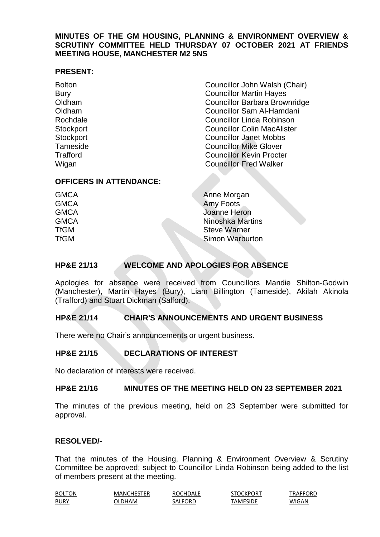## **MINUTES OF THE GM HOUSING, PLANNING & ENVIRONMENT OVERVIEW & SCRUTINY COMMITTEE HELD THURSDAY 07 OCTOBER 2021 AT FRIENDS MEETING HOUSE, MANCHESTER M2 5NS**

#### **PRESENT:**

Bolton Councillor John Walsh (Chair) Bury **Councillor Martin Hayes** Oldham Councillor Barbara Brownridge Oldham Councillor Sam Al-Hamdani Rochdale Councillor Linda Robinson Stockport Councillor Colin MacAlister Stockport Councillor Janet Mobbs Tameside **Councillor Mike Glover** Trafford Councillor Kevin Procter Wigan **Councillor Fred Walker** 

## **OFFICERS IN ATTENDANCE:**

| <b>GMCA</b> | Anne Morgan             |
|-------------|-------------------------|
| <b>GMCA</b> | Amy Foots               |
| <b>GMCA</b> | Joanne Heron            |
| <b>GMCA</b> | <b>Ninoshka Martins</b> |
| <b>TfGM</b> | <b>Steve Warner</b>     |
| <b>TfGM</b> | <b>Simon Warburton</b>  |
|             |                         |

# **HP&E 21/13 WELCOME AND APOLOGIES FOR ABSENCE**

Apologies for absence were received from Councillors Mandie Shilton-Godwin (Manchester), Martin Hayes (Bury), Liam Billington (Tameside), Akilah Akinola (Trafford) and Stuart Dickman (Salford).

## **HP&E 21/14 CHAIR'S ANNOUNCEMENTS AND URGENT BUSINESS**

There were no Chair's announcements or urgent business.

# **HP&E 21/15 DECLARATIONS OF INTEREST**

No declaration of interests were received.

#### **HP&E 21/16 MINUTES OF THE MEETING HELD ON 23 SEPTEMBER 2021**

The minutes of the previous meeting, held on 23 September were submitted for approval.

#### **RESOLVED/-**

That the minutes of the Housing, Planning & Environment Overview & Scrutiny Committee be approved; subject to Councillor Linda Robinson being added to the list of members present at the meeting.

| <b>BOLTON</b>                                  | MANCHESTER | ROCHDALE | STOCKPORT | TRAFFORD |
|------------------------------------------------|------------|----------|-----------|----------|
| <b>BURY</b><br>the contract of the contract of | ገLDHAM     | SALFORD  | TAMESIDE  | WIGAN    |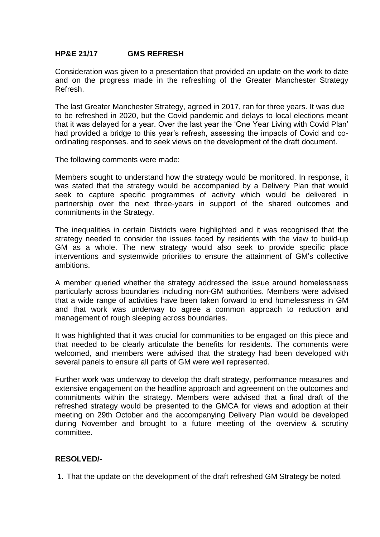## **HP&E 21/17 GMS REFRESH**

Consideration was given to a presentation that provided an update on the work to date and on the progress made in the refreshing of the Greater Manchester Strategy Refresh.

The last Greater Manchester Strategy, agreed in 2017, ran for three years. It was due to be refreshed in 2020, but the Covid pandemic and delays to local elections meant that it was delayed for a year. Over the last year the 'One Year Living with Covid Plan' had provided a bridge to this year's refresh, assessing the impacts of Covid and coordinating responses. and to seek views on the development of the draft document.

The following comments were made:

Members sought to understand how the strategy would be monitored. In response, it was stated that the strategy would be accompanied by a Delivery Plan that would seek to capture specific programmes of activity which would be delivered in partnership over the next three-years in support of the shared outcomes and commitments in the Strategy.

The inequalities in certain Districts were highlighted and it was recognised that the strategy needed to consider the issues faced by residents with the view to build-up GM as a whole. The new strategy would also seek to provide specific place interventions and systemwide priorities to ensure the attainment of GM's collective ambitions.

A member queried whether the strategy addressed the issue around homelessness particularly across boundaries including non-GM authorities. Members were advised that a wide range of activities have been taken forward to end homelessness in GM and that work was underway to agree a common approach to reduction and management of rough sleeping across boundaries.

It was highlighted that it was crucial for communities to be engaged on this piece and that needed to be clearly articulate the benefits for residents. The comments were welcomed, and members were advised that the strategy had been developed with several panels to ensure all parts of GM were well represented.

Further work was underway to develop the draft strategy, performance measures and extensive engagement on the headline approach and agreement on the outcomes and commitments within the strategy. Members were advised that a final draft of the refreshed strategy would be presented to the GMCA for views and adoption at their meeting on 29th October and the accompanying Delivery Plan would be developed during November and brought to a future meeting of the overview & scrutiny committee.

## **RESOLVED/-**

1. That the update on the development of the draft refreshed GM Strategy be noted.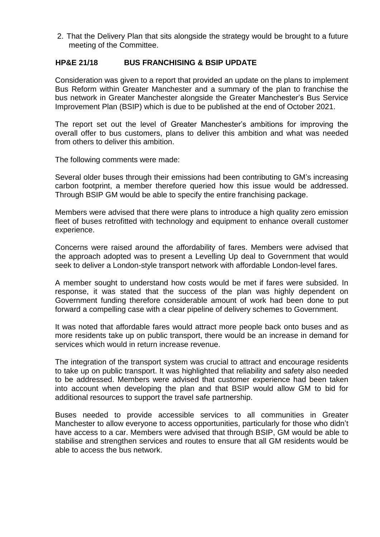2. That the Delivery Plan that sits alongside the strategy would be brought to a future meeting of the Committee.

# **HP&E 21/18 BUS FRANCHISING & BSIP UPDATE**

Consideration was given to a report that provided an update on the plans to implement Bus Reform within Greater Manchester and a summary of the plan to franchise the bus network in Greater Manchester alongside the Greater Manchester's Bus Service Improvement Plan (BSIP) which is due to be published at the end of October 2021.

The report set out the level of Greater Manchester's ambitions for improving the overall offer to bus customers, plans to deliver this ambition and what was needed from others to deliver this ambition.

The following comments were made:

Several older buses through their emissions had been contributing to GM's increasing carbon footprint, a member therefore queried how this issue would be addressed. Through BSIP GM would be able to specify the entire franchising package.

Members were advised that there were plans to introduce a high quality zero emission fleet of buses retrofitted with technology and equipment to enhance overall customer experience.

Concerns were raised around the affordability of fares. Members were advised that the approach adopted was to present a Levelling Up deal to Government that would seek to deliver a London-style transport network with affordable London-level fares.

A member sought to understand how costs would be met if fares were subsided. In response, it was stated that the success of the plan was highly dependent on Government funding therefore considerable amount of work had been done to put forward a compelling case with a clear pipeline of delivery schemes to Government.

It was noted that affordable fares would attract more people back onto buses and as more residents take up on public transport, there would be an increase in demand for services which would in return increase revenue.

The integration of the transport system was crucial to attract and encourage residents to take up on public transport. It was highlighted that reliability and safety also needed to be addressed. Members were advised that customer experience had been taken into account when developing the plan and that BSIP would allow GM to bid for additional resources to support the travel safe partnership.

Buses needed to provide accessible services to all communities in Greater Manchester to allow everyone to access opportunities, particularly for those who didn't have access to a car. Members were advised that through BSIP, GM would be able to stabilise and strengthen services and routes to ensure that all GM residents would be able to access the bus network.